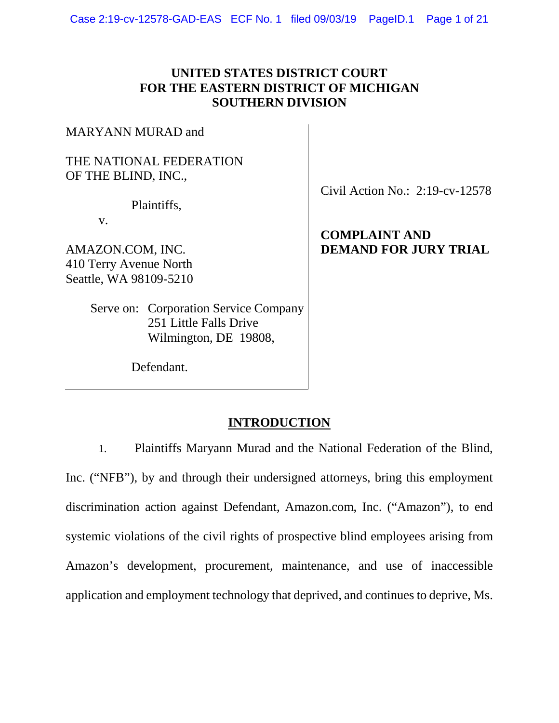### **UNITED STATES DISTRICT COURT FOR THE EASTERN DISTRICT OF MICHIGAN SOUTHERN DIVISION**

MARYANN MURAD and

#### THE NATIONAL FEDERATION OF THE BLIND, INC.,

Plaintiffs,

v.

[AMAZON.COM,](https://AMAZON.COM) INC. 410 Terry Avenue North Seattle, WA 98109-5210

> Serve on: Corporation Service Company 251 Little Falls Drive Wilmington, DE 19808,

Civil Action No.: 2:19-cv-12578

## **COMPLAINT AND DEMAND FOR JURY TRIAL**

Defendant.

## **INTRODUCTION**

Plaintiffs Maryann Murad and the National Federation of the Blind, Inc. ("NFB"), by and through their undersigned attorneys, bring this employment discrimination action against Defendant, [Amazon.com,](https://Amazon.com) Inc. ("Amazon"), to end systemic violations of the civil rights of prospective blind employees arising from Amazon's development, procurement, maintenance, and use of inaccessible application and employment technology that deprived, and continues to deprive, Ms. 1.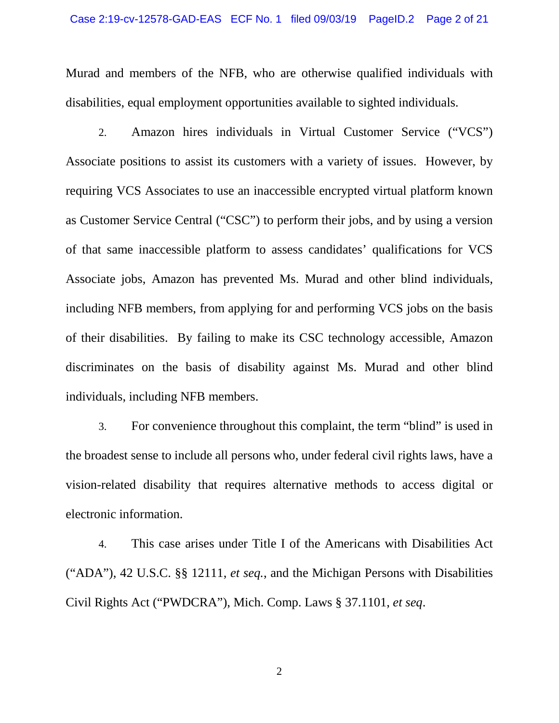disabilities, equal employment opportunities available to sighted individuals.<br>2. Amazon hires individuals in Virtual Customer Service ("VCS") Murad and members of the NFB, who are otherwise qualified individuals with

 as Customer Service Central ("CSC") to perform their jobs, and by using a version including NFB members, from applying for and performing VCS jobs on the basis of their disabilities. By failing to make its CSC technology accessible, Amazon Associate positions to assist its customers with a variety of issues. However, by requiring VCS Associates to use an inaccessible encrypted virtual platform known of that same inaccessible platform to assess candidates' qualifications for VCS Associate jobs, Amazon has prevented Ms. Murad and other blind individuals, discriminates on the basis of disability against Ms. Murad and other blind individuals, including NFB members.

3. For convenience throughout this complaint, the term "blind" is used in the broadest sense to include all persons who, under federal civil rights laws, have a vision-related disability that requires alternative methods to access digital or electronic information.

4. This case arises under Title I of the Americans with Disabilities Act ("ADA"), 42 U.S.C. §§ 12111, *et seq.*, and the Michigan Persons with Disabilities Civil Rights Act ("PWDCRA"), Mich. Comp. Laws § 37.1101, *et seq*.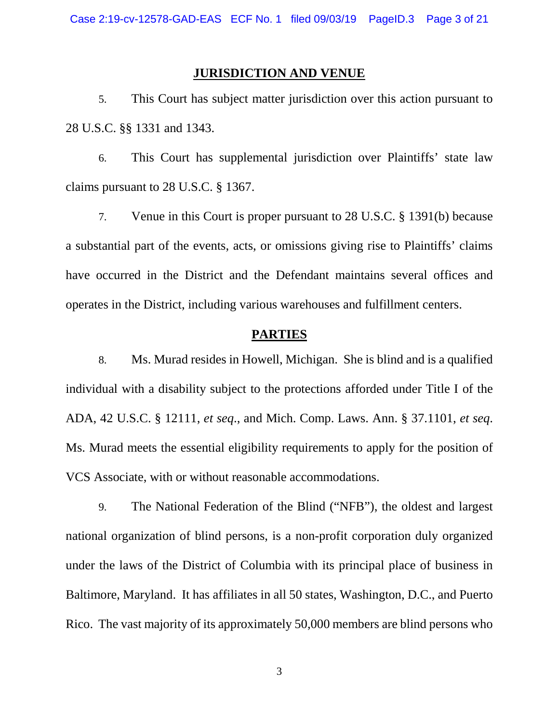#### **JURISDICTION AND VENUE**

5. This Court has subject matter jurisdiction over this action pursuant to 28 U.S.C. §§ 1331 and 1343.

6. This Court has supplemental jurisdiction over Plaintiffs' state law claims pursuant to 28 U.S.C. § 1367.

 7. Venue in this Court is proper pursuant to 28 U.S.C. § 1391(b) because a substantial part of the events, acts, or omissions giving rise to Plaintiffs' claims have occurred in the District and the Defendant maintains several offices and operates in the District, including various warehouses and fulfillment centers.

#### **PARTIES**

 individual with a disability subject to the protections afforded under Title I of the ADA, 42 U.S.C. § 12111, et seq., and Mich. Comp. Laws. Ann. § 37.1101, et seq. ADA, 42 U.S.C. § 12111, *et seq*., and Mich. Comp. Laws. Ann. § 37.1101, *et seq*. Ms. Murad meets the essential eligibility requirements to apply for the position of VCS Associate, with or without reasonable accommodations. 8. Ms. Murad resides in Howell, Michigan. She is blind and is a qualified

 national organization of blind persons, is a non-profit corporation duly organized 9. The National Federation of the Blind ("NFB"), the oldest and largest under the laws of the District of Columbia with its principal place of business in Baltimore, Maryland. It has affiliates in all 50 states, Washington, D.C., and Puerto Rico. The vast majority of its approximately 50,000 members are blind persons who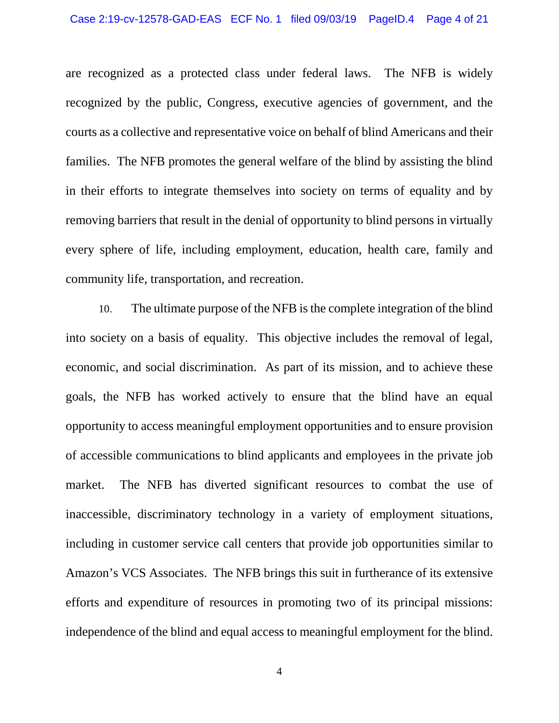families. The NFB promotes the general welfare of the blind by assisting the blind every sphere of life, including employment, education, health care, family and community life, transportation, and recreation. are recognized as a protected class under federal laws. The NFB is widely recognized by the public, Congress, executive agencies of government, and the courts as a collective and representative voice on behalf of blind Americans and their in their efforts to integrate themselves into society on terms of equality and by removing barriers that result in the denial of opportunity to blind persons in virtually

 into society on a basis of equality. This objective includes the removal of legal, economic, and social discrimination. As part of its mission, and to achieve these goals, the NFB has worked actively to ensure that the blind have an equal of accessible communications to blind applicants and employees in the private job market. Amazon's VCS Associates. The NFB brings this suit in furtherance of its extensive independence of the blind and equal access to meaningful employment for the blind. 4 10. The ultimate purpose of the NFB is the complete integration of the blind opportunity to access meaningful employment opportunities and to ensure provision The NFB has diverted significant resources to combat the use of inaccessible, discriminatory technology in a variety of employment situations, including in customer service call centers that provide job opportunities similar to efforts and expenditure of resources in promoting two of its principal missions: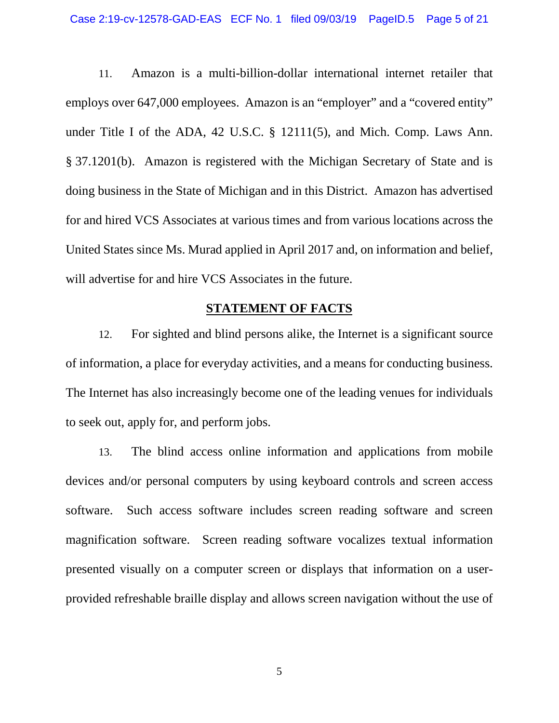under Title I of the ADA, 42 U.S.C. § 12111(5), and Mich. Comp. Laws Ann. § 37.1201(b). Amazon is registered with the Michigan Secretary of State and is doing business in the State of Michigan and in this District. Amazon has advertised 11. Amazon is a multi-billion-dollar international internet retailer that employs over 647,000 employees. Amazon is an "employer" and a "covered entity" for and hired VCS Associates at various times and from various locations across the United States since Ms. Murad applied in April 2017 and, on information and belief, will advertise for and hire VCS Associates in the future.

#### **STATEMENT OF FACTS**

 of information, a place for everyday activities, and a means for conducting business. The Internet has also increasingly become one of the leading venues for individuals to seek out, apply for, and perform jobs. 12. For sighted and blind persons alike, the Internet is a significant source

 devices and/or personal computers by using keyboard controls and screen access software. provided refreshable braille display and allows screen navigation without the use of 13. The blind access online information and applications from mobile Such access software includes screen reading software and screen magnification software. Screen reading software vocalizes textual information presented visually on a computer screen or displays that information on a user-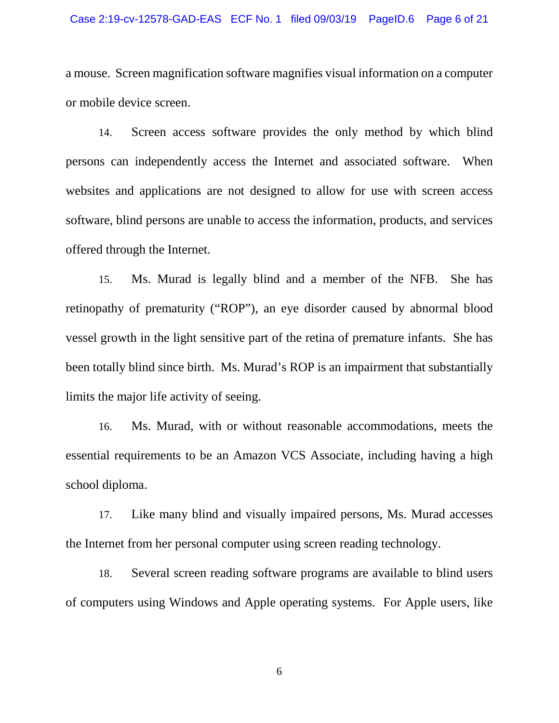#### Case 2:19-cv-12578-GAD-EAS ECF No. 1 filed 09/03/19 PageID.6 Page 6 of 21

a mouse. Screen magnification software magnifies visual information on a computer or mobile device screen.

 14. Screen access software provides the only method by which blind persons can independently access the Internet and associated software. When websites and applications are not designed to allow for use with screen access software, blind persons are unable to access the information, products, and services offered through the Internet.

 vessel growth in the light sensitive part of the retina of premature infants. She has been totally blind since birth. Ms. Murad's ROP is an impairment that substantially limits the major life activity of seeing. 15. Ms. Murad is legally blind and a member of the NFB. She has retinopathy of prematurity ("ROP"), an eye disorder caused by abnormal blood

16. Ms. Murad, with or without reasonable accommodations, meets the essential requirements to be an Amazon VCS Associate, including having a high school diploma.

 the Internet from her personal computer using screen reading technology. 17. Like many blind and visually impaired persons, Ms. Murad accesses

18. Several screen reading software programs are available to blind users of computers using Windows and Apple operating systems. For Apple users, like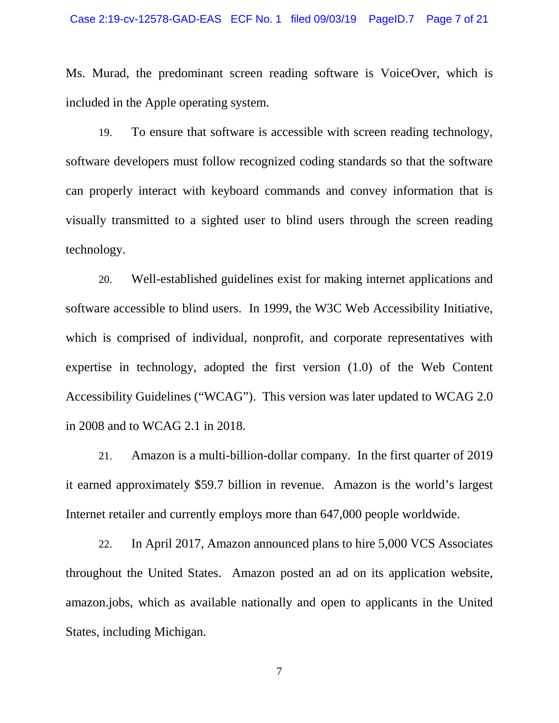Ms. Murad, the predominant screen reading software is VoiceOver, which is included in the Apple operating system.

 software developers must follow recognized coding standards so that the software visually transmitted to a sighted user to blind users through the screen reading technology. 19. To ensure that software is accessible with screen reading technology, can properly interact with keyboard commands and convey information that is

20. Well-established guidelines exist for making internet applications and software accessible to blind users. In 1999, the W3C Web Accessibility Initiative, which is comprised of individual, nonprofit, and corporate representatives with expertise in technology, adopted the first version (1.0) of the Web Content Accessibility Guidelines ("WCAG"). This version was later updated to WCAG 2.0 in 2008 and to WCAG 2.1 in 2018.

 21. Amazon is a multi-billion-dollar company. In the first quarter of 2019 Internet retailer and currently employs more than 647,000 people worldwide.<br>22. In April 2017, Amazon announced plans to hire 5,000 VCS Associates it earned approximately \$59.7 billion in revenue. Amazon is the world's largest

In April 2017, Amazon announced plans to hire 5,000 VCS Associates throughout the United States. Amazon posted an ad on its application website, amazon.jobs, which as available nationally and open to applicants in the United States, including Michigan.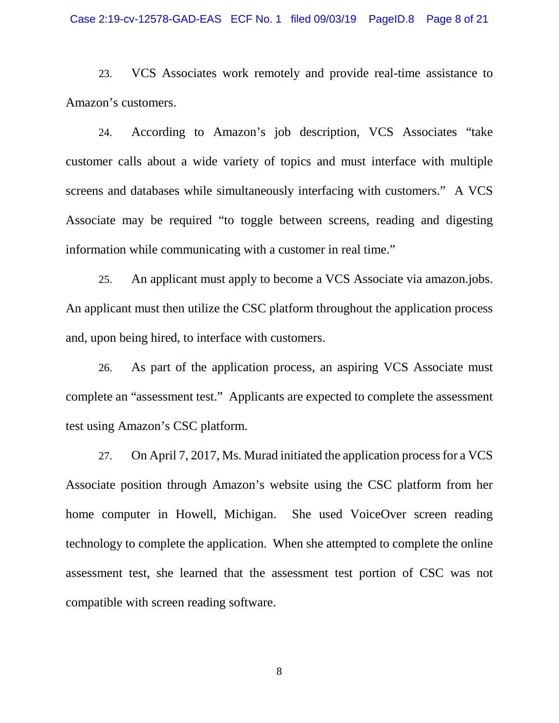#### Case 2:19-cv-12578-GAD-EAS ECF No. 1 filed 09/03/19 PageID.8 Page 8 of 21

Amazon's customers. 23. VCS Associates work remotely and provide real-time assistance to

 customer calls about a wide variety of topics and must interface with multiple information while communicating with a customer in real time." 24. According to Amazon's job description, VCS Associates "take screens and databases while simultaneously interfacing with customers." A VCS Associate may be required "to toggle between screens, reading and digesting

 An applicant must then utilize the CSC platform throughout the application process and, upon being hired, to interface with customers. 25. An applicant must apply to become a VCS Associate via amazon.jobs.

 complete an "assessment test." Applicants are expected to complete the assessment 26. As part of the application process, an aspiring VCS Associate must test using Amazon's CSC platform.

 27. On April 7, 2017, Ms. Murad initiated the application process for a VCS Associate position through Amazon's website using the CSC platform from her technology to complete the application. When she attempted to complete the online assessment test, she learned that the assessment test portion of CSC was not home computer in Howell, Michigan. She used VoiceOver screen reading compatible with screen reading software.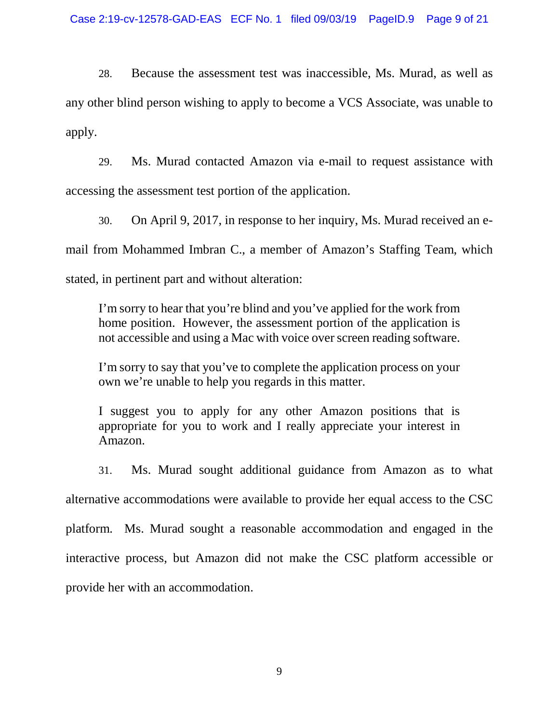apply. 28. Because the assessment test was inaccessible, Ms. Murad, as well as any other blind person wishing to apply to become a VCS Associate, was unable to

accessing the assessment test portion of the application. 29. Ms. Murad contacted Amazon via e-mail to request assistance with

30. On April 9, 2017, in response to her inquiry, Ms. Murad received an email from Mohammed Imbran C., a member of Amazon's Staffing Team, which stated, in pertinent part and without alteration:

I'm sorry to hear that you're blind and you've applied for the work from home position. However, the assessment portion of the application is not accessible and using a Mac with voice over screen reading software.

I'm sorry to say that you've to complete the application process on your own we're unable to help you regards in this matter.

I suggest you to apply for any other Amazon positions that is appropriate for you to work and I really appreciate your interest in Amazon.

 platform. Ms. Murad sought a reasonable accommodation and engaged in the interactive process, but Amazon did not make the CSC platform accessible or 31. Ms. Murad sought additional guidance from Amazon as to what alternative accommodations were available to provide her equal access to the CSC provide her with an accommodation.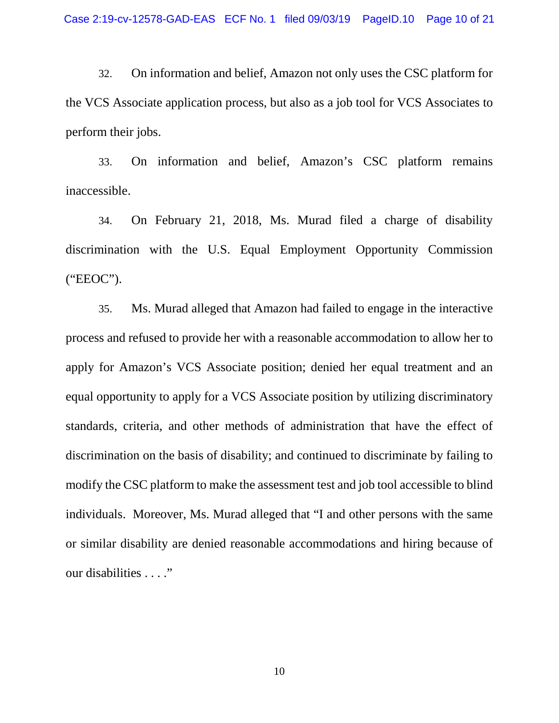32. On information and belief, Amazon not only uses the CSC platform for the VCS Associate application process, but also as a job tool for VCS Associates to perform their jobs.

 33. On information and belief, Amazon's CSC platform remains inaccessible.

34. On February 21, 2018, Ms. Murad filed a charge of disability discrimination with the U.S. Equal Employment Opportunity Commission ("EEOC").

 35. Ms. Murad alleged that Amazon had failed to engage in the interactive process and refused to provide her with a reasonable accommodation to allow her to apply for Amazon's VCS Associate position; denied her equal treatment and an standards, criteria, and other methods of administration that have the effect of individuals. Moreover, Ms. Murad alleged that "I and other persons with the same or similar disability are denied reasonable accommodations and hiring because of our disabilities . . . ." equal opportunity to apply for a VCS Associate position by utilizing discriminatory discrimination on the basis of disability; and continued to discriminate by failing to modify the CSC platform to make the assessment test and job tool accessible to blind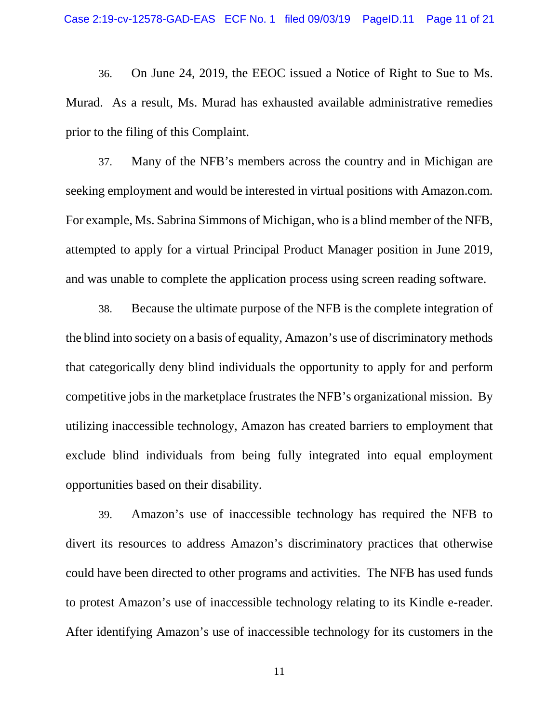prior to the filing of this Complaint. 36. On June 24, 2019, the EEOC issued a Notice of Right to Sue to Ms. Murad. As a result, Ms. Murad has exhausted available administrative remedies

37. Many of the NFB's members across the country and in Michigan are seeking employment and would be interested in virtual positions with [Amazon.com.](https://Amazon.com) For example, Ms. Sabrina Simmons of Michigan, who is a blind member of the NFB, attempted to apply for a virtual Principal Product Manager position in June 2019, and was unable to complete the application process using screen reading software.

 38. Because the ultimate purpose of the NFB is the complete integration of the blind into society on a basis of equality, Amazon's use of discriminatory methods competitive jobs in the marketplace frustrates the NFB's organizational mission. By that categorically deny blind individuals the opportunity to apply for and perform utilizing inaccessible technology, Amazon has created barriers to employment that exclude blind individuals from being fully integrated into equal employment opportunities based on their disability.

 could have been directed to other programs and activities. The NFB has used funds to protest Amazon's use of inaccessible technology relating to its Kindle e-reader. 39. Amazon's use of inaccessible technology has required the NFB to divert its resources to address Amazon's discriminatory practices that otherwise After identifying Amazon's use of inaccessible technology for its customers in the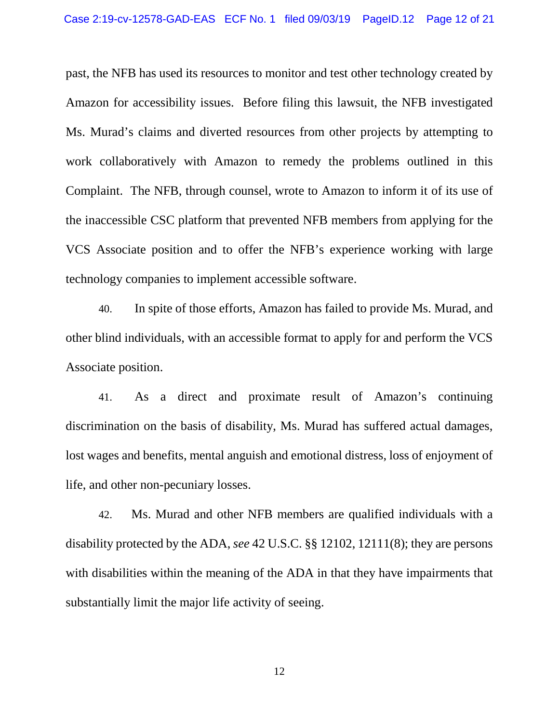Amazon for accessibility issues. Before filing this lawsuit, the NFB investigated Ms. Murad's claims and diverted resources from other projects by attempting to Complaint. The NFB, through counsel, wrote to Amazon to inform it of its use of past, the NFB has used its resources to monitor and test other technology created by work collaboratively with Amazon to remedy the problems outlined in this the inaccessible CSC platform that prevented NFB members from applying for the VCS Associate position and to offer the NFB's experience working with large technology companies to implement accessible software.

40. In spite of those efforts, Amazon has failed to provide Ms. Murad, and other blind individuals, with an accessible format to apply for and perform the VCS Associate position.

41. As a direct and proximate result of Amazon's continuing discrimination on the basis of disability, Ms. Murad has suffered actual damages, lost wages and benefits, mental anguish and emotional distress, loss of enjoyment of life, and other non-pecuniary losses.

42. Ms. Murad and other NFB members are qualified individuals with a disability protected by the ADA, *see* 42 U.S.C. §§ 12102, 12111(8); they are persons with disabilities within the meaning of the ADA in that they have impairments that substantially limit the major life activity of seeing.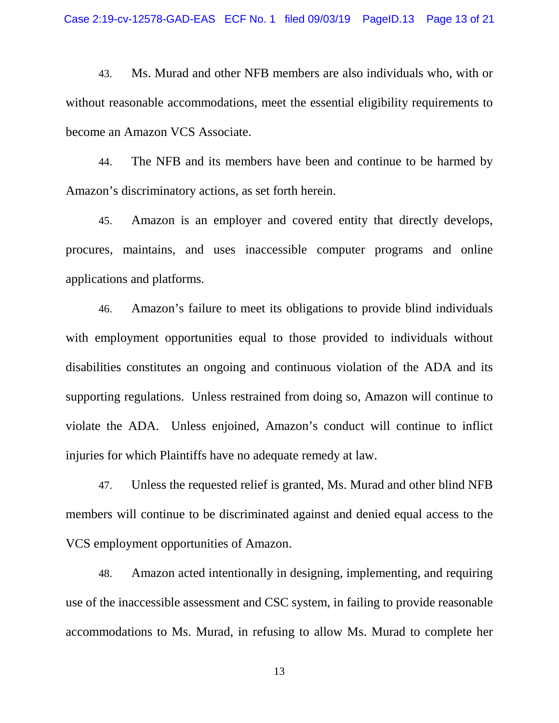43. Ms. Murad and other NFB members are also individuals who, with or without reasonable accommodations, meet the essential eligibility requirements to become an Amazon VCS Associate.

 Amazon's discriminatory actions, as set forth herein. 44. The NFB and its members have been and continue to be harmed by

45. Amazon is an employer and covered entity that directly develops, procures, maintains, and uses inaccessible computer programs and online applications and platforms.

 disabilities constitutes an ongoing and continuous violation of the ADA and its 46. Amazon's failure to meet its obligations to provide blind individuals with employment opportunities equal to those provided to individuals without supporting regulations. Unless restrained from doing so, Amazon will continue to violate the ADA. Unless enjoined, Amazon's conduct will continue to inflict injuries for which Plaintiffs have no adequate remedy at law.

47. Unless the requested relief is granted, Ms. Murad and other blind NFB members will continue to be discriminated against and denied equal access to the VCS employment opportunities of Amazon.

 accommodations to Ms. Murad, in refusing to allow Ms. Murad to complete her 48. Amazon acted intentionally in designing, implementing, and requiring use of the inaccessible assessment and CSC system, in failing to provide reasonable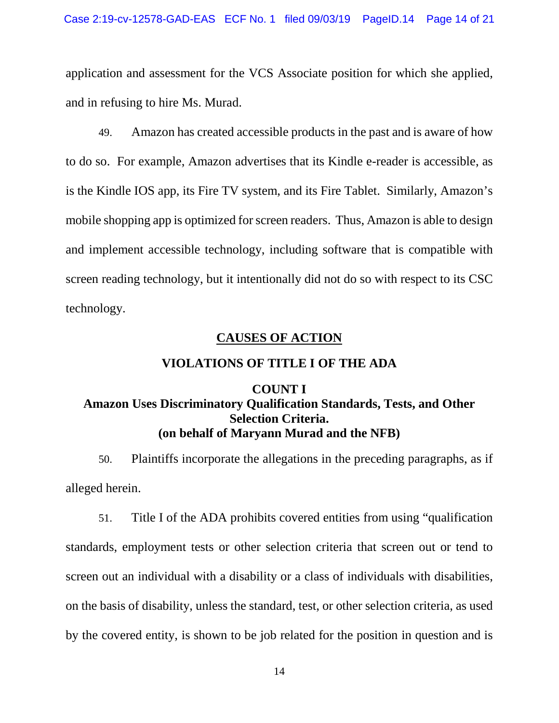application and assessment for the VCS Associate position for which she applied, and in refusing to hire Ms. Murad.

 to do so. For example, Amazon advertises that its Kindle e-reader is accessible, as is the Kindle IOS app, its Fire TV system, and its Fire Tablet. Similarly, Amazon's and implement accessible technology, including software that is compatible with 49. Amazon has created accessible products in the past and is aware of how mobile shopping app is optimized for screen readers. Thus, Amazon is able to design screen reading technology, but it intentionally did not do so with respect to its CSC technology.

### **CAUSES OF ACTION**

### **VIOLATIONS OF TITLE I OF THE ADA**

### **COUNT I (on behalf of Maryann Murad and the NFB) Amazon Uses Discriminatory Qualification Standards, Tests, and Other Selection Criteria.**

 50. Plaintiffs incorporate the allegations in the preceding paragraphs, as if alleged herein.

 51. Title I of the ADA prohibits covered entities from using "qualification on the basis of disability, unless the standard, test, or other selection criteria, as used standards, employment tests or other selection criteria that screen out or tend to screen out an individual with a disability or a class of individuals with disabilities, by the covered entity, is shown to be job related for the position in question and is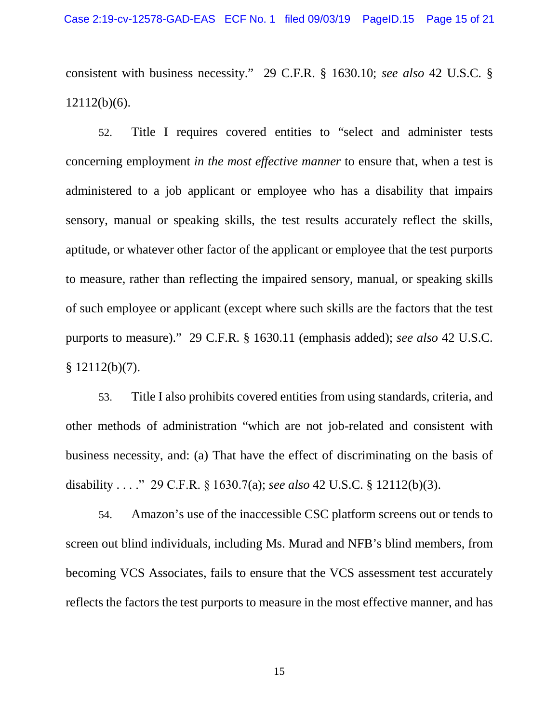consistent with business necessity." 29 C.F.R. § 1630.10; *see also* 42 U.S.C. § 12112(b)(6).

 52. Title I requires covered entities to "select and administer tests sensory, manual or speaking skills, the test results accurately reflect the skills, concerning employment *in the most effective manner* to ensure that, when a test is administered to a job applicant or employee who has a disability that impairs aptitude, or whatever other factor of the applicant or employee that the test purports to measure, rather than reflecting the impaired sensory, manual, or speaking skills of such employee or applicant (except where such skills are the factors that the test purports to measure)." 29 C.F.R. § 1630.11 (emphasis added); *see also* 42 U.S.C.  $§ 12112(b)(7).$ 

 disability . . . ." 29 C.F.R. § 1630.7(a); *see also* 42 U.S.C. § 12112(b)(3). 53. Title I also prohibits covered entities from using standards, criteria, and other methods of administration "which are not job-related and consistent with business necessity, and: (a) That have the effect of discriminating on the basis of

 screen out blind individuals, including Ms. Murad and NFB's blind members, from becoming VCS Associates, fails to ensure that the VCS assessment test accurately 54. Amazon's use of the inaccessible CSC platform screens out or tends to reflects the factors the test purports to measure in the most effective manner, and has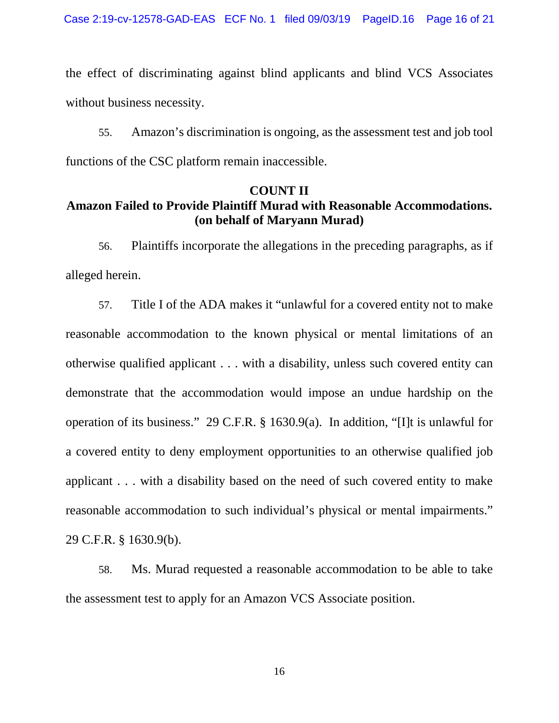the effect of discriminating against blind applicants and blind VCS Associates without business necessity.

55. Amazon's discrimination is ongoing, as the assessment test and job tool functions of the CSC platform remain inaccessible.

#### **COUNT II**

# **Amazon Failed to Provide Plaintiff Murad with Reasonable Accommodations. (on behalf of Maryann Murad)**

 56. Plaintiffs incorporate the allegations in the preceding paragraphs, as if alleged herein.

 57. Title I of the ADA makes it "unlawful for a covered entity not to make operation of its business." 29 C.F.R. § 1630.9(a). In addition, "[I]t is unlawful for reasonable accommodation to such individual's physical or mental impairments."<br>29 C.F.R. § 1630.9(b). reasonable accommodation to the known physical or mental limitations of an otherwise qualified applicant . . . with a disability, unless such covered entity can demonstrate that the accommodation would impose an undue hardship on the a covered entity to deny employment opportunities to an otherwise qualified job applicant . . . with a disability based on the need of such covered entity to make

 58. Ms. Murad requested a reasonable accommodation to be able to take the assessment test to apply for an Amazon VCS Associate position.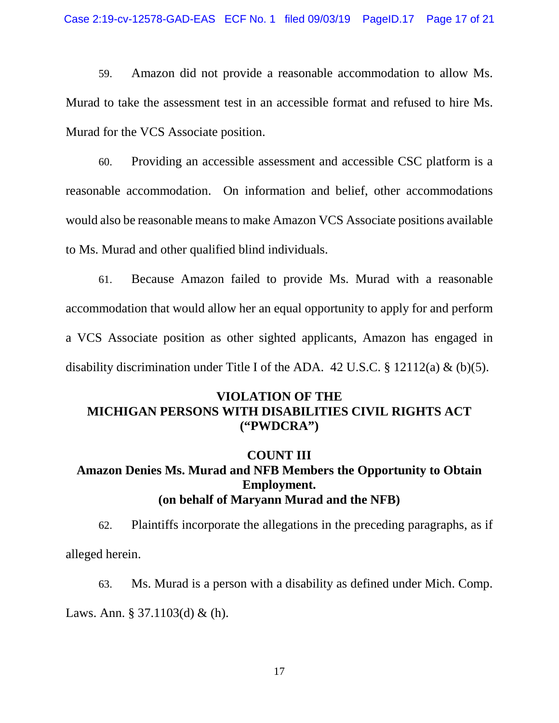59. Amazon did not provide a reasonable accommodation to allow Ms. Murad to take the assessment test in an accessible format and refused to hire Ms. Murad for the VCS Associate position.

 to Ms. Murad and other qualified blind individuals. 60. Providing an accessible assessment and accessible CSC platform is a reasonable accommodation. On information and belief, other accommodations would also be reasonable means to make Amazon VCS Associate positions available

 accommodation that would allow her an equal opportunity to apply for and perform 61. Because Amazon failed to provide Ms. Murad with a reasonable a VCS Associate position as other sighted applicants, Amazon has engaged in disability discrimination under Title I of the ADA.  $42 \text{ U.S.C.}$  §  $12112(a) \& (b)(5)$ .

### **MICHIGAN PERSONS WITH DISABILITIES CIVIL RIGHTS ACT** ("PWDCRA") **VIOLATION OF THE**

#### **COUNT III**

## **(on behalf of Maryann Murad and the NFB) Amazon Denies Ms. Murad and NFB Members the Opportunity to Obtain Employment.**

 62. Plaintiffs incorporate the allegations in the preceding paragraphs, as if alleged herein.

 63. Ms. Murad is a person with a disability as defined under Mich. Comp. Laws. Ann. § 37.1103(d) & (h).  $17$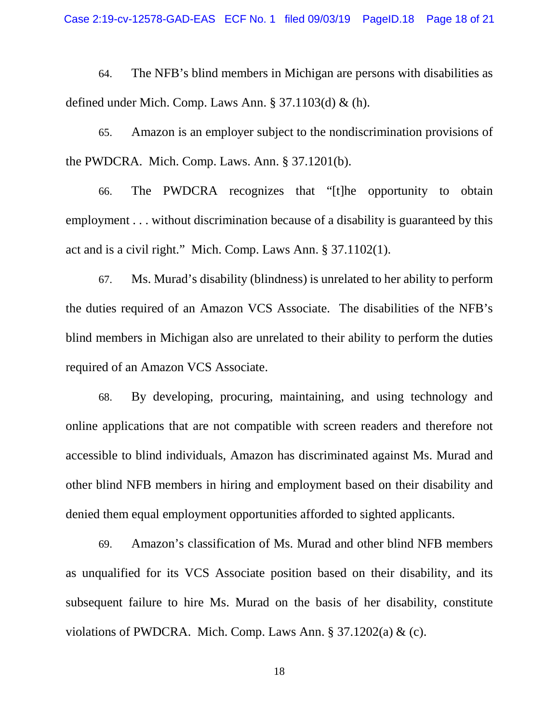64. The NFB's blind members in Michigan are persons with disabilities as defined under Mich. Comp. Laws Ann.  $\S 37.1103(d) \& (h)$ .

 the PWDCRA. Mich. Comp. Laws. Ann. § 37.1201(b). 65. Amazon is an employer subject to the nondiscrimination provisions of

 66. The PWDCRA recognizes that "[t]he opportunity to obtain act and is a civil right." Mich. Comp. Laws Ann. § 37.1102(1). employment . . . without discrimination because of a disability is guaranteed by this

 67. Ms. Murad's disability (blindness) is unrelated to her ability to perform blind members in Michigan also are unrelated to their ability to perform the duties the duties required of an Amazon VCS Associate. The disabilities of the NFB's required of an Amazon VCS Associate.

 68. By developing, procuring, maintaining, and using technology and online applications that are not compatible with screen readers and therefore not accessible to blind individuals, Amazon has discriminated against Ms. Murad and other blind NFB members in hiring and employment based on their disability and denied them equal employment opportunities afforded to sighted applicants.

 as unqualified for its VCS Associate position based on their disability, and its subsequent failure to hire Ms. Murad on the basis of her disability, constitute violations of PWDCRA. Mich. Comp. Laws Ann. § 37.1202(a) & (c).<br>18 69. Amazon's classification of Ms. Murad and other blind NFB members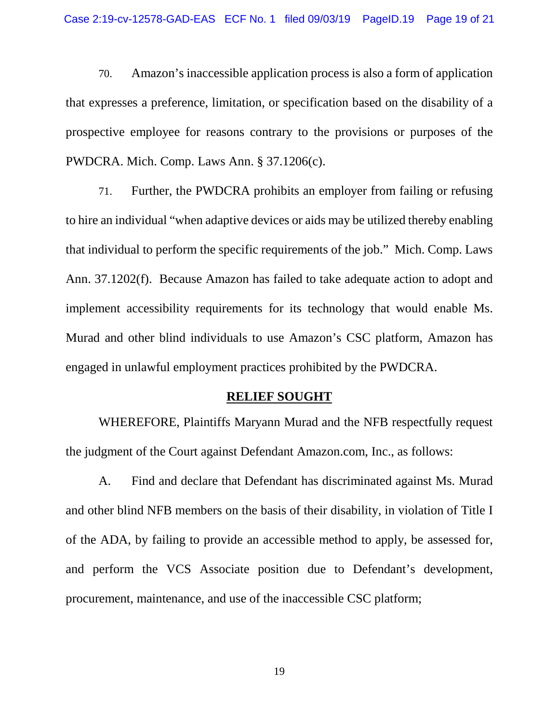that expresses a preference, limitation, or specification based on the disability of a prospective employee for reasons contrary to the provisions or purposes of the PWDCRA. Mich. Comp. Laws Ann. § 37.1206(c). 70. Amazon's inaccessible application process is also a form of application

 71. Further, the PWDCRA prohibits an employer from failing or refusing Ann. 37.1202(f). Because Amazon has failed to take adequate action to adopt and to hire an individual "when adaptive devices or aids may be utilized thereby enabling that individual to perform the specific requirements of the job." Mich. Comp. Laws implement accessibility requirements for its technology that would enable Ms. Murad and other blind individuals to use Amazon's CSC platform, Amazon has engaged in unlawful employment practices prohibited by the PWDCRA.

#### **RELIEF SOUGHT**

WHEREFORE, Plaintiffs Maryann Murad and the NFB respectfully request the judgment of the Court against Defendant [Amazon.com,](https://Amazon.com) Inc., as follows:

 of the ADA, by failing to provide an accessible method to apply, be assessed for, procurement, maintenance, and use of the inaccessible CSC platform; A. Find and declare that Defendant has discriminated against Ms. Murad and other blind NFB members on the basis of their disability, in violation of Title I and perform the VCS Associate position due to Defendant's development,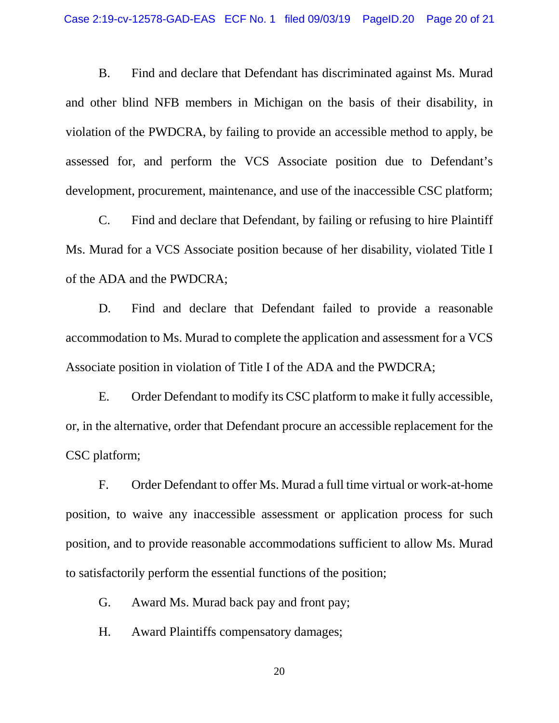and other blind NFB members in Michigan on the basis of their disability, in violation of the PWDCRA, by failing to provide an accessible method to apply, be assessed for, and perform the VCS Associate position due to Defendant's B. Find and declare that Defendant has discriminated against Ms. Murad development, procurement, maintenance, and use of the inaccessible CSC platform;

 C. Find and declare that Defendant, by failing or refusing to hire Plaintiff Ms. Murad for a VCS Associate position because of her disability, violated Title I of the ADA and the PWDCRA;

 Associate position in violation of Title I of the ADA and the PWDCRA; D. Find and declare that Defendant failed to provide a reasonable accommodation to Ms. Murad to complete the application and assessment for a VCS

 E. Order Defendant to modify its CSC platform to make it fully accessible, or, in the alternative, order that Defendant procure an accessible replacement for the CSC platform;

 F. Order Defendant to offer Ms. Murad a full time virtual or work-at-home to satisfactorily perform the essential functions of the position; position, to waive any inaccessible assessment or application process for such position, and to provide reasonable accommodations sufficient to allow Ms. Murad

G. Award Ms. Murad back pay and front pay;

H. Award Plaintiffs compensatory damages;